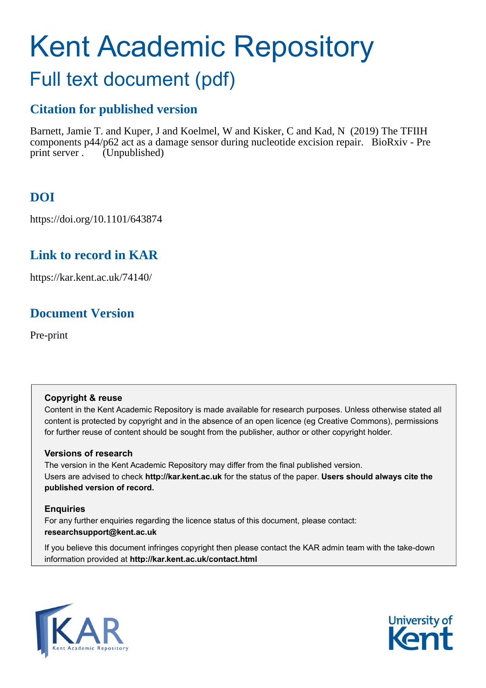# Kent Academic Repository

# Full text document (pdf)

# **Citation for published version**

Barnett, Jamie T. and Kuper, J and Koelmel, W and Kisker, C and Kad, N (2019) The TFIIH components p44/p62 act as a damage sensor during nucleotide excision repair. BioRxiv - Pre print server . (Unpublished)

# **DOI**

https://doi.org/10.1101/643874

# **Link to record in KAR**

https://kar.kent.ac.uk/74140/

# **Document Version**

Pre-print

#### **Copyright & reuse**

Content in the Kent Academic Repository is made available for research purposes. Unless otherwise stated all content is protected by copyright and in the absence of an open licence (eg Creative Commons), permissions for further reuse of content should be sought from the publisher, author or other copyright holder.

#### **Versions of research**

The version in the Kent Academic Repository may differ from the final published version. Users are advised to check **http://kar.kent.ac.uk** for the status of the paper. **Users should always cite the published version of record.**

#### **Enquiries**

For any further enquiries regarding the licence status of this document, please contact: **researchsupport@kent.ac.uk**

If you believe this document infringes copyright then please contact the KAR admin team with the take-down information provided at **http://kar.kent.ac.uk/contact.html**



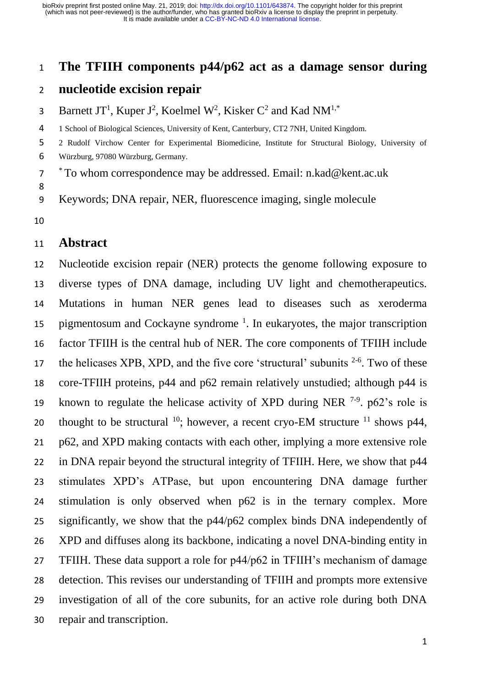#### **The TFIIH components p44/p62 act as a damage sensor during**

# **nucleotide excision repair**

3 Barnett JT<sup>1</sup>, Kuper J<sup>2</sup>, Koelmel W<sup>2</sup>, Kisker C<sup>2</sup> and Kad NM<sup>1,\*</sup>

- 1 School of Biological Sciences, University of Kent, Canterbury, CT2 7NH, United Kingdom.
- 2 Rudolf Virchow Center for Experimental Biomedicine, Institute for Structural Biology, University of
- Würzburg, 97080 Würzburg, Germany.

\* To whom correspondence may be addressed. Email: n.kad@kent.ac.uk

Keywords; DNA repair, NER, fluorescence imaging, single molecule

## **Abstract**

 Nucleotide excision repair (NER) protects the genome following exposure to diverse types of DNA damage, including UV light and chemotherapeutics. Mutations in human NER genes lead to diseases such as xeroderma 15 pigmentosum and Cockayne syndrome  $<sup>1</sup>$ . In eukaryotes, the major transcription</sup> factor TFIIH is the central hub of NER. The core components of TFIIH include 17 the helicases XPB, XPD, and the five core 'structural' subunits  $2-6$ . Two of these core-TFIIH proteins, p44 and p62 remain relatively unstudied; although p44 is 19 known to regulate the helicase activity of XPD during NER  $7-9$ . p62's role is 20 thought to be structural ; however, a recent cryo-EM structure  $11$  shows p44, p62, and XPD making contacts with each other, implying a more extensive role in DNA repair beyond the structural integrity of TFIIH. Here, we show that p44 stimulates XPD's ATPase, but upon encountering DNA damage further stimulation is only observed when p62 is in the ternary complex. More significantly, we show that the p44/p62 complex binds DNA independently of XPD and diffuses along its backbone, indicating a novel DNA-binding entity in TFIIH. These data support a role for p44/p62 in TFIIH's mechanism of damage detection. This revises our understanding of TFIIH and prompts more extensive investigation of all of the core subunits, for an active role during both DNA repair and transcription.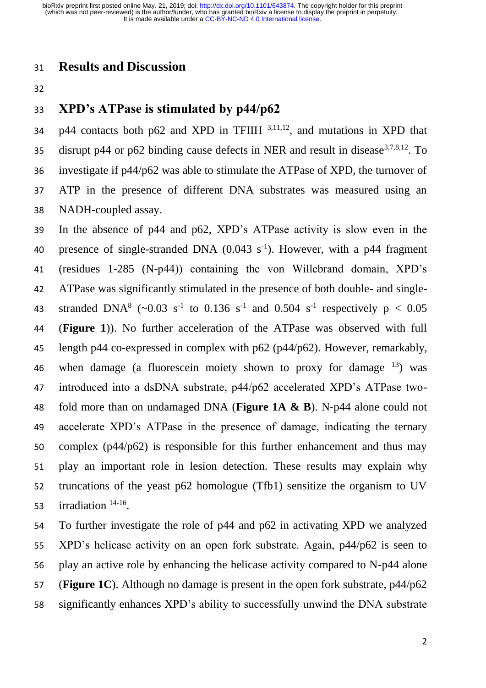## **Results and Discussion**

# **XPD's ATPase is stimulated by p44/p62**

 $p44$  contacts both p62 and XPD in TFIIH  $^{3,11,12}$ , and mutations in XPD that disrupt p44 or p62 binding cause defects in NER and result in disease  $3,7,8,12$ . To investigate if p44/p62 was able to stimulate the ATPase of XPD, the turnover of ATP in the presence of different DNA substrates was measured using an NADH-coupled assay.

 In the absence of p44 and p62, XPD's ATPase activity is slow even in the 40 presence of single-stranded DNA  $(0.043 \text{ s}^{-1})$ . However, with a p44 fragment (residues 1-285 (N-p44)) containing the von Willebrand domain, XPD's ATPase was significantly stimulated in the presence of both double- and single-43 stranded DNA<sup>8</sup> (~0.03 s<sup>-1</sup> to 0.136 s<sup>-1</sup> and 0.504 s<sup>-1</sup> respectively  $p < 0.05$  (**Figure 1**)). No further acceleration of the ATPase was observed with full length p44 co-expressed in complex with p62 (p44/p62). However, remarkably, 46 when damage (a fluorescein moiety shown to proxy for damage  $^{13}$ ) was introduced into a dsDNA substrate, p44/p62 accelerated XPD's ATPase two- fold more than on undamaged DNA (**Figure 1A & B**). N-p44 alone could not accelerate XPD's ATPase in the presence of damage, indicating the ternary complex (p44/p62) is responsible for this further enhancement and thus may play an important role in lesion detection. These results may explain why truncations of the yeast p62 homologue (Tfb1) sensitize the organism to UV 53 irradiation  $14-16$ .

 To further investigate the role of p44 and p62 in activating XPD we analyzed XPD's helicase activity on an open fork substrate. Again, p44/p62 is seen to play an active role by enhancing the helicase activity compared to N-p44 alone (**Figure 1C**). Although no damage is present in the open fork substrate, p44/p62 significantly enhances XPD's ability to successfully unwind the DNA substrate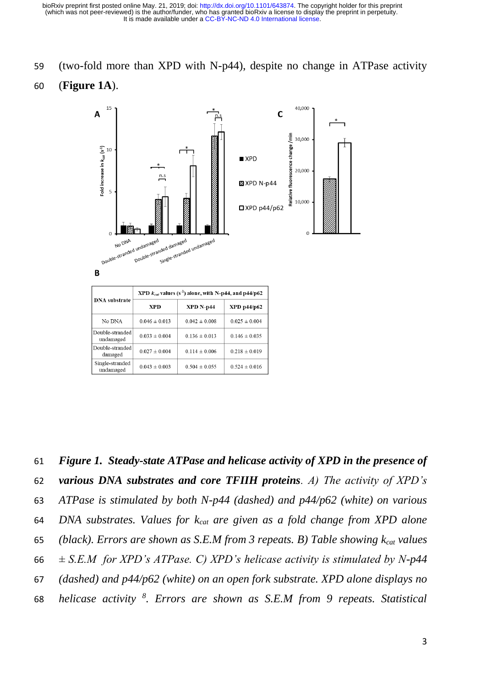#### (two-fold more than XPD with N-p44), despite no change in ATPase activity

#### (**Figure 1A**).



 *Figure 1. Steady-state ATPase and helicase activity of XPD in the presence of various DNA substrates and core TFIIH proteins. A) The activity of XPD's ATPase is stimulated by both N-p44 (dashed) and p44/p62 (white) on various DNA substrates. Values for kcat are given as a fold change from XPD alone (black). Errors are shown as S.E.M from 3 repeats. B) Table showing kcat values*   $\pm$  S.E.M for XPD's ATPase. C) XPD's helicase activity is stimulated by N-p44 *(dashed) and p44/p62 (white) on an open fork substrate. XPD alone displays no helicase activity* <sup>8</sup>. Errors are shown as S.E.M from 9 repeats. Statistical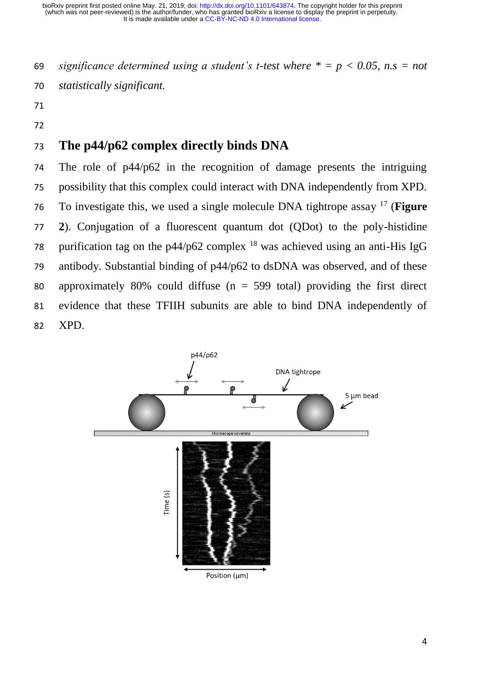*significance determined using a student's t-test where \* = p < 0.05, n.s = not statistically significant.*

- 
- 

# **The p44/p62 complex directly binds DNA**

 The role of p44/p62 in the recognition of damage presents the intriguing possibility that this complex could interact with DNA independently from XPD. To investigate this, we used a single molecule DNA tightrope assay <sup>17</sup> (Figure **2**). Conjugation of a fluorescent quantum dot (QDot) to the poly-histidine 78 purification tag on the p44/p62 complex  $^{18}$  was achieved using an anti-His IgG antibody. Substantial binding of p44/p62 to dsDNA was observed, and of these 80 approximately 80% could diffuse ( $n = 599$  total) providing the first direct evidence that these TFIIH subunits are able to bind DNA independently of XPD.

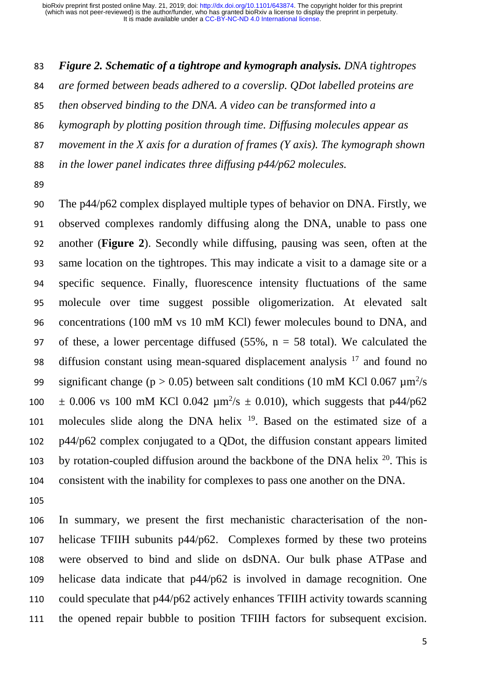*Figure 2. Schematic of a tightrope and kymograph analysis. DNA tightropes* 

*are formed between beads adhered to a coverslip. QDot labelled proteins are* 

*then observed binding to the DNA. A video can be transformed into a* 

*kymograph by plotting position through time. Diffusing molecules appear as* 

*movement in the X axis for a duration of frames (Y axis). The kymograph shown* 

*in the lower panel indicates three diffusing p44/p62 molecules.*

 The p44/p62 complex displayed multiple types of behavior on DNA. Firstly, we observed complexes randomly diffusing along the DNA, unable to pass one another (**Figure 2**). Secondly while diffusing, pausing was seen, often at the same location on the tightropes. This may indicate a visit to a damage site or a specific sequence. Finally, fluorescence intensity fluctuations of the same molecule over time suggest possible oligomerization. At elevated salt concentrations (100 mM vs 10 mM KCl) fewer molecules bound to DNA, and 97 of these, a lower percentage diffused  $(55\%, n = 58 \text{ total})$ . We calculated the 98 diffusion constant using mean-squared displacement analysis and found no 99 significant change ( $p > 0.05$ ) between salt conditions (10 mM KCl 0.067  $\mu$ m<sup>2</sup>/s  $\pm$  0.006 vs 100 mM KCl 0.042  $\mu$ m<sup>2</sup>/s  $\pm$  0.010), which suggests that p44/p62 101 molecules slide along the DNA helix . Based on the estimated size of a p44/p62 complex conjugated to a QDot, the diffusion constant appears limited 103 by rotation-coupled diffusion around the backbone of the DNA helix . This is consistent with the inability for complexes to pass one another on the DNA.

 In summary, we present the first mechanistic characterisation of the non- helicase TFIIH subunits p44/p62. Complexes formed by these two proteins were observed to bind and slide on dsDNA. Our bulk phase ATPase and helicase data indicate that p44/p62 is involved in damage recognition. One could speculate that p44/p62 actively enhances TFIIH activity towards scanning the opened repair bubble to position TFIIH factors for subsequent excision.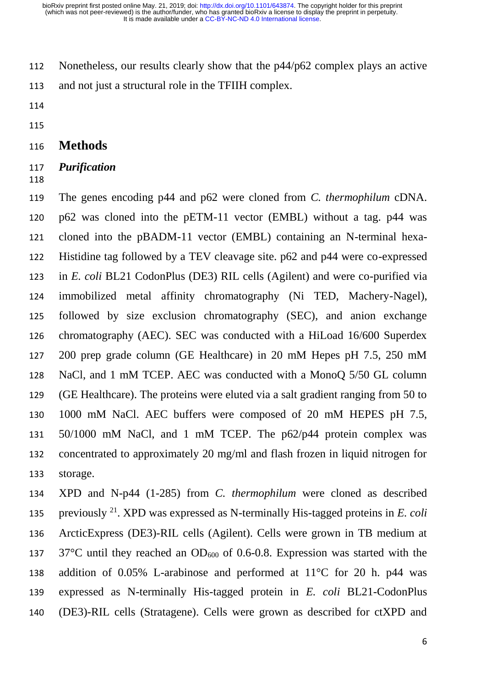Nonetheless, our results clearly show that the p44/p62 complex plays an active and not just a structural role in the TFIIH complex.

#### **Methods**

#### *Purification*

 The genes encoding p44 and p62 were cloned from *C. thermophilum* cDNA. p62 was cloned into the pETM-11 vector (EMBL) without a tag. p44 was cloned into the pBADM-11 vector (EMBL) containing an N-terminal hexa- Histidine tag followed by a TEV cleavage site. p62 and p44 were co-expressed in *E. coli* BL21 CodonPlus (DE3) RIL cells (Agilent) and were co-purified via immobilized metal affinity chromatography (Ni TED, Machery-Nagel), followed by size exclusion chromatography (SEC), and anion exchange chromatography (AEC). SEC was conducted with a HiLoad 16/600 Superdex 200 prep grade column (GE Healthcare) in 20 mM Hepes pH 7.5, 250 mM NaCl, and 1 mM TCEP. AEC was conducted with a MonoQ 5/50 GL column (GE Healthcare). The proteins were eluted via a salt gradient ranging from 50 to 1000 mM NaCl. AEC buffers were composed of 20 mM HEPES pH 7.5, 50/1000 mM NaCl, and 1 mM TCEP. The p62/p44 protein complex was concentrated to approximately 20 mg/ml and flash frozen in liquid nitrogen for storage.

 XPD and N-p44 (1-285) from *C. thermophilum* were cloned as described previously <sup>21</sup> . XPD was expressed as N-terminally His-tagged proteins in *E. coli* ArcticExpress (DE3)-RIL cells (Agilent). Cells were grown in TB medium at 137 37 $^{\circ}$ C until they reached an OD<sub>600</sub> of 0.6-0.8. Expression was started with the addition of 0.05% L-arabinose and performed at 11°C for 20 h. p44 was expressed as N-terminally His-tagged protein in *E. coli* BL21-CodonPlus (DE3)-RIL cells (Stratagene). Cells were grown as described for ctXPD and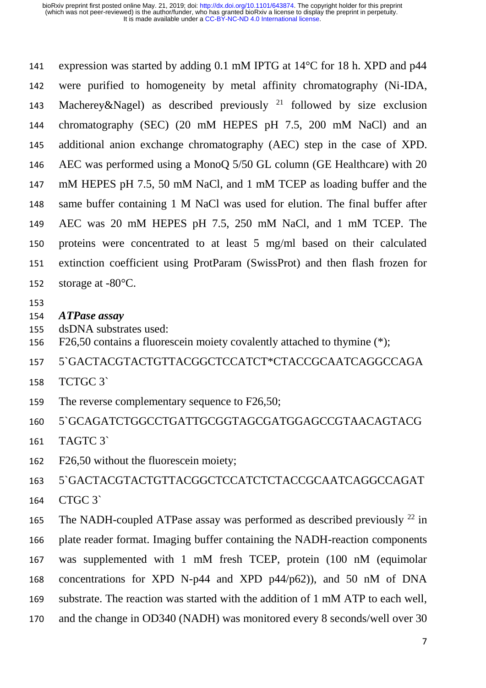expression was started by adding 0.1 mM IPTG at 14°C for 18 h. XPD and p44 were purified to homogeneity by metal affinity chromatography (Ni-IDA, 143 Macherey&Nagel) as described previously  $2^1$  followed by size exclusion chromatography (SEC) (20 mM HEPES pH 7.5, 200 mM NaCl) and an additional anion exchange chromatography (AEC) step in the case of XPD. AEC was performed using a MonoQ 5/50 GL column (GE Healthcare) with 20 mM HEPES pH 7.5, 50 mM NaCl, and 1 mM TCEP as loading buffer and the same buffer containing 1 M NaCl was used for elution. The final buffer after AEC was 20 mM HEPES pH 7.5, 250 mM NaCl, and 1 mM TCEP. The proteins were concentrated to at least 5 mg/ml based on their calculated extinction coefficient using ProtParam (SwissProt) and then flash frozen for storage at -80°C.

- 
- *ATPase assay*
- dsDNA substrates used:
- F26,50 contains a fluorescein moiety covalently attached to thymine (\*);

5`GACTACGTACTGTTACGGCTCCATCT\*CTACCGCAATCAGGCCAGA

- TCTGC 3`
- 159 The reverse complementary sequence to F26,50;

5`GCAGATCTGGCCTGATTGCGGTAGCGATGGAGCCGTAACAGTACG

- TAGTC 3`
- F26,50 without the fluorescein moiety;

5`GACTACGTACTGTTACGGCTCCATCTCTACCGCAATCAGGCCAGAT

CTGC 3`

165 The NADH-coupled ATPase assay was performed as described previously  $^{22}$  in plate reader format. Imaging buffer containing the NADH-reaction components was supplemented with 1 mM fresh TCEP, protein (100 nM (equimolar concentrations for XPD N-p44 and XPD p44/p62)), and 50 nM of DNA substrate. The reaction was started with the addition of 1 mM ATP to each well, and the change in OD340 (NADH) was monitored every 8 seconds/well over 30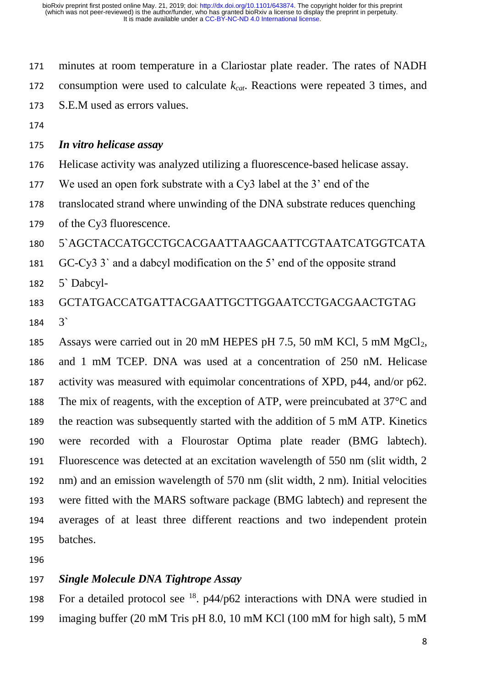minutes at room temperature in a Clariostar plate reader. The rates of NADH consumption were used to calculate *kcat*. Reactions were repeated 3 times, and S.E.M used as errors values.

#### *In vitro helicase assay*

- Helicase activity was analyzed utilizing a fluorescence-based helicase assay.
- We used an open fork substrate with a Cy3 label at the 3' end of the
- translocated strand where unwinding of the DNA substrate reduces quenching
- of the Cy3 fluorescence.
- 5`AGCTACCATGCCTGCACGAATTAAGCAATTCGTAATCATGGTCATA
- GC-Cy3 3` and a dabcyl modification on the 5' end of the opposite strand
- 5` Dabcyl-
- GCTATGACCATGATTACGAATTGCTTGGAATCCTGACGAACTGTAG 3`
- 185 Assays were carried out in 20 mM HEPES pH 7.5, 50 mM KCl, 5 mM  $MgCl<sub>2</sub>$ , and 1 mM TCEP. DNA was used at a concentration of 250 nM. Helicase activity was measured with equimolar concentrations of XPD, p44, and/or p62. The mix of reagents, with the exception of ATP, were preincubated at 37°C and the reaction was subsequently started with the addition of 5 mM ATP. Kinetics were recorded with a Flourostar Optima plate reader (BMG labtech). Fluorescence was detected at an excitation wavelength of 550 nm (slit width, 2 nm) and an emission wavelength of 570 nm (slit width, 2 nm). Initial velocities were fitted with the MARS software package (BMG labtech) and represent the averages of at least three different reactions and two independent protein batches.
- 

#### *Single Molecule DNA Tightrope Assay*

198 For a detailed protocol see  $^{18}$ . p44/p62 interactions with DNA were studied in imaging buffer (20 mM Tris pH 8.0, 10 mM KCl (100 mM for high salt), 5 mM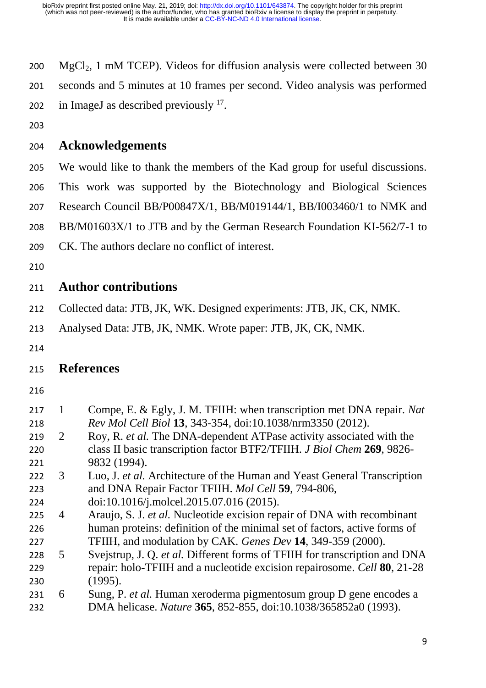200  $MgCl<sub>2</sub>$ , 1 mM TCEP). Videos for diffusion analysis were collected between 30 seconds and 5 minutes at 10 frames per second. Video analysis was performed 202 in ImageJ as described previously .

#### **Acknowledgements**

 We would like to thank the members of the Kad group for useful discussions. This work was supported by the Biotechnology and Biological Sciences Research Council BB/P00847X/1, BB/M019144/1, BB/I003460/1 to NMK and BB/M01603X/1 to JTB and by the German Research Foundation KI-562/7-1 to CK. The authors declare no conflict of interest.

# **Author contributions**

- Collected data: JTB, JK, WK. Designed experiments: JTB, JK, CK, NMK.
- Analysed Data: JTB, JK, NMK. Wrote paper: JTB, JK, CK, NMK.
- 

# **References**

| 217<br>218 | 1 | Compe, E. & Egly, J. M. TFIIH: when transcription met DNA repair. Nat<br>Rev Mol Cell Biol 13, 343-354, doi:10.1038/nrm3350 (2012). |
|------------|---|-------------------------------------------------------------------------------------------------------------------------------------|
| 219        | 2 | Roy, R. et al. The DNA-dependent ATPase activity associated with the                                                                |
| 220        |   | class II basic transcription factor BTF2/TFIIH. J Biol Chem 269, 9826-                                                              |
| 221        |   | 9832 (1994).                                                                                                                        |
| 222        | 3 | Luo, J. et al. Architecture of the Human and Yeast General Transcription                                                            |
| 223        |   | and DNA Repair Factor TFIIH. Mol Cell 59, 794-806,                                                                                  |
| 224        |   | doi:10.1016/j.molcel.2015.07.016 (2015).                                                                                            |
| 225        | 4 | Araujo, S. J. et al. Nucleotide excision repair of DNA with recombinant                                                             |
| 226        |   | human proteins: definition of the minimal set of factors, active forms of                                                           |
| 227        |   | TFIIH, and modulation by CAK. Genes Dev 14, 349-359 (2000).                                                                         |
| 228        | 5 | Svejstrup, J. Q. et al. Different forms of TFIIH for transcription and DNA                                                          |
| 229        |   | repair: holo-TFIIH and a nucleotide excision repairosome. Cell 80, 21-28                                                            |
| 230        |   | (1995).                                                                                                                             |
| 231        | 6 | Sung, P. et al. Human xeroderma pigmentosum group D gene encodes a                                                                  |
| 232        |   | DMA helicase. Nature 365, 852-855, doi:10.1038/365852a0 (1993).                                                                     |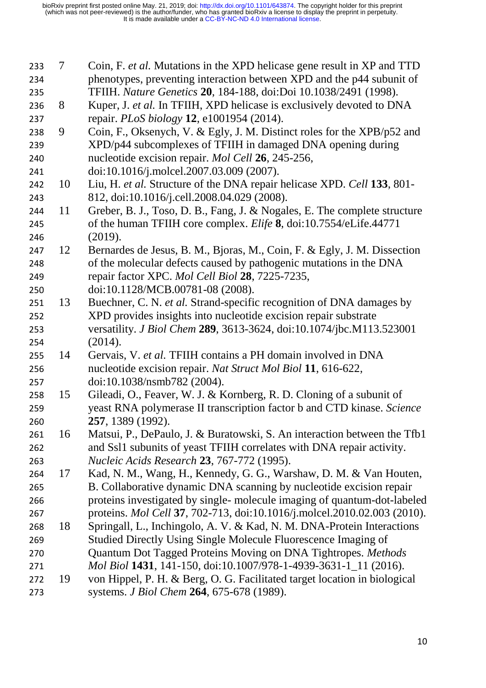- 7 Coin, F. *et al.* Mutations in the XPD helicase gene result in XP and TTD phenotypes, preventing interaction between XPD and the p44 subunit of TFIIH. *Nature Genetics* **20**, 184-188, doi:Doi 10.1038/2491 (1998).
- 8 Kuper, J. *et al.* In TFIIH, XPD helicase is exclusively devoted to DNA repair. *PLoS biology* **12**, e1001954 (2014).
- 9 Coin, F., Oksenych, V. & Egly, J. M. Distinct roles for the XPB/p52 and XPD/p44 subcomplexes of TFIIH in damaged DNA opening during nucleotide excision repair. *Mol Cell* **26**, 245-256,
- doi:10.1016/j.molcel.2007.03.009 (2007).
- 10 Liu, H. *et al.* Structure of the DNA repair helicase XPD. *Cell* **133**, 801- 812, doi:10.1016/j.cell.2008.04.029 (2008).
- 11 Greber, B. J., Toso, D. B., Fang, J. & Nogales, E. The complete structure of the human TFIIH core complex. *Elife* **8**, doi:10.7554/eLife.44771 (2019).
- 12 Bernardes de Jesus, B. M., Bjoras, M., Coin, F. & Egly, J. M. Dissection of the molecular defects caused by pathogenic mutations in the DNA repair factor XPC. *Mol Cell Biol* **28**, 7225-7235,
- doi:10.1128/MCB.00781-08 (2008).
- 13 Buechner, C. N. *et al.* Strand-specific recognition of DNA damages by XPD provides insights into nucleotide excision repair substrate versatility. *J Biol Chem* **289**, 3613-3624, doi:10.1074/jbc.M113.523001 (2014).
- 14 Gervais, V. *et al.* TFIIH contains a PH domain involved in DNA nucleotide excision repair. *Nat Struct Mol Biol* **11**, 616-622, doi:10.1038/nsmb782 (2004).
- 15 Gileadi, O., Feaver, W. J. & Kornberg, R. D. Cloning of a subunit of yeast RNA polymerase II transcription factor b and CTD kinase. *Science* **257**, 1389 (1992).
- 16 Matsui, P., DePaulo, J. & Buratowski, S. An interaction between the Tfb1 and Ssl1 subunits of yeast TFIIH correlates with DNA repair activity. *Nucleic Acids Research* **23**, 767-772 (1995).
- 17 Kad, N. M., Wang, H., Kennedy, G. G., Warshaw, D. M. & Van Houten, B. Collaborative dynamic DNA scanning by nucleotide excision repair proteins investigated by single- molecule imaging of quantum-dot-labeled
- proteins. *Mol Cell* **37**, 702-713, doi:10.1016/j.molcel.2010.02.003 (2010).
- 18 Springall, L., Inchingolo, A. V. & Kad, N. M. DNA-Protein Interactions
- Studied Directly Using Single Molecule Fluorescence Imaging of Quantum Dot Tagged Proteins Moving on DNA Tightropes. *Methods*
- *Mol Biol* **1431**, 141-150, doi:10.1007/978-1-4939-3631-1\_11 (2016).
- 19 von Hippel, P. H. & Berg, O. G. Facilitated target location in biological systems. *J Biol Chem* **264**, 675-678 (1989).